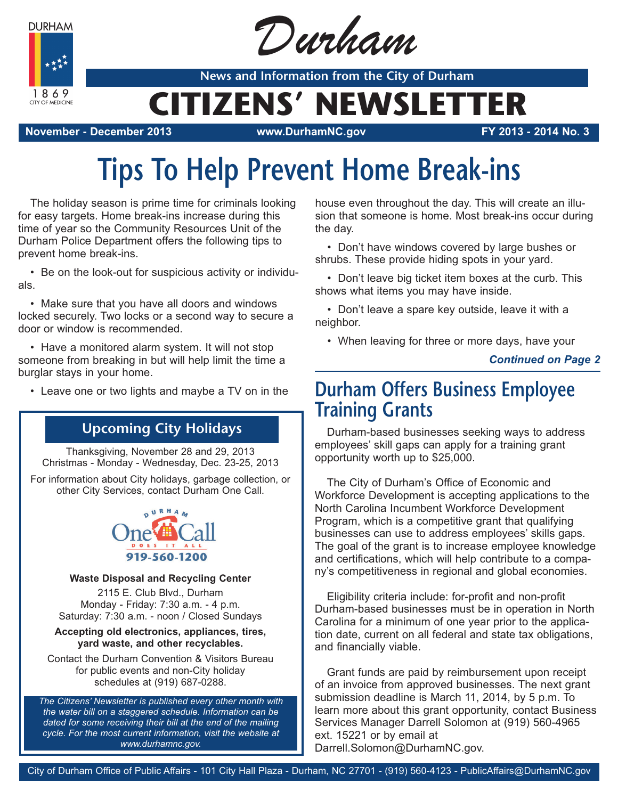**DURHAM** 

1869 CITY OF MEDICINE



**News and Information from the City of Durham**

## **CITIZENS' NEWSLETTER**

**November - December 2013 www.DurhamNC.gov FY 2013 - 2014 No. 3**

# **Tips To Help Prevent Home Break-ins**

The holiday season is prime time for criminals looking for easy targets. Home break-ins increase during this time of year so the Community Resources Unit of the Durham Police Department offers the following tips to prevent home break-ins.

• Be on the look-out for suspicious activity or individuals.

• Make sure that you have all doors and windows locked securely. Two locks or a second way to secure a door or window is recommended.

• Have a monitored alarm system. It will not stop someone from breaking in but will help limit the time a burglar stays in your home.

• Leave one or two lights and maybe a TV on in the

## **Upcoming City Holidays**

Thanksgiving, November 28 and 29, 2013 Christmas - Monday - Wednesday, Dec. 23-25, 2013

For information about City holidays, garbage collection, or other City Services, contact Durham One Call.



### **Waste Disposal and Recycling Center**

2115 E. Club Blvd., Durham Monday - Friday: 7:30 a.m. - 4 p.m. Saturday: 7:30 a.m. - noon / Closed Sundays

#### **Accepting old electronics, appliances, tires, yard waste, and other recyclables.**

Contact the Durham Convention & Visitors Bureau for public events and non-City holiday schedules at (919) 687-0288.

*The Citizens' Newsletter is published every other month with the water bill on a staggered schedule. Information can be dated for some receiving their bill at the end of the mailing cycle. For the most current information, visit the website at www.durhamnc.gov.*

house even throughout the day. This will create an illusion that someone is home. Most break-ins occur during the day.

• Don't have windows covered by large bushes or shrubs. These provide hiding spots in your yard.

• Don't leave big ticket item boxes at the curb. This shows what items you may have inside.

• Don't leave a spare key outside, leave it with a neighbor.

• When leaving for three or more days, have your

### *Continued on Page 2*

## **Durham Offers Business Employee Training Grants**

Durham-based businesses seeking ways to address employees' skill gaps can apply for a training grant opportunity worth up to \$25,000.

The City of Durham's Office of Economic and Workforce Development is accepting applications to the North Carolina Incumbent Workforce Development Program, which is a competitive grant that qualifying businesses can use to address employees' skills gaps. The goal of the grant is to increase employee knowledge and certifications, which will help contribute to a company's competitiveness in regional and global economies.

Eligibility criteria include: for-profit and non-profit Durham-based businesses must be in operation in North Carolina for a minimum of one year prior to the application date, current on all federal and state tax obligations, and financially viable.

Grant funds are paid by reimbursement upon receipt of an invoice from approved businesses. The next grant submission deadline is March 11, 2014, by 5 p.m. To learn more about this grant opportunity, contact Business Services Manager Darrell Solomon at (919) 560-4965 ext. 15221 or by email at Darrell.Solomon@DurhamNC.gov.